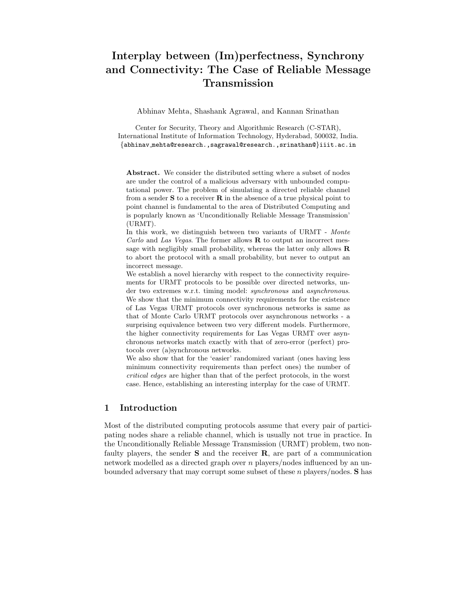# Interplay between (Im)perfectness, Synchrony and Connectivity: The Case of Reliable Message Transmission

Abhinav Mehta, Shashank Agrawal, and Kannan Srinathan

Center for Security, Theory and Algorithmic Research (C-STAR), International Institute of Information Technology, Hyderabad, 500032, India. {abhinav mehta@research.,sagrawal@research.,srinathan@}iiit.ac.in

Abstract. We consider the distributed setting where a subset of nodes are under the control of a malicious adversary with unbounded computational power. The problem of simulating a directed reliable channel from a sender  $S$  to a receiver  $R$  in the absence of a true physical point to point channel is fundamental to the area of Distributed Computing and is popularly known as 'Unconditionally Reliable Message Transmission' (URMT).

In this work, we distinguish between two variants of URMT - *Monte Carlo* and *Las Vegas*. The former allows R to output an incorrect message with negligibly small probability, whereas the latter only allows  $$ to abort the protocol with a small probability, but never to output an incorrect message.

We establish a novel hierarchy with respect to the connectivity requirements for URMT protocols to be possible over directed networks, under two extremes w.r.t. timing model: *synchronous* and *asynchronous*. We show that the minimum connectivity requirements for the existence of Las Vegas URMT protocols over synchronous networks is same as that of Monte Carlo URMT protocols over asynchronous networks - a surprising equivalence between two very different models. Furthermore, the higher connectivity requirements for Las Vegas URMT over asynchronous networks match exactly with that of zero-error (perfect) protocols over (a)synchronous networks.

We also show that for the 'easier' randomized variant (ones having less minimum connectivity requirements than perfect ones) the number of *critical edges* are higher than that of the perfect protocols, in the worst case. Hence, establishing an interesting interplay for the case of URMT.

# 1 Introduction

Most of the distributed computing protocols assume that every pair of participating nodes share a reliable channel, which is usually not true in practice. In the Unconditionally Reliable Message Transmission (URMT) problem, two nonfaulty players, the sender  $S$  and the receiver  $R$ , are part of a communication network modelled as a directed graph over n players/nodes influenced by an unbounded adversary that may corrupt some subset of these n players/nodes. S has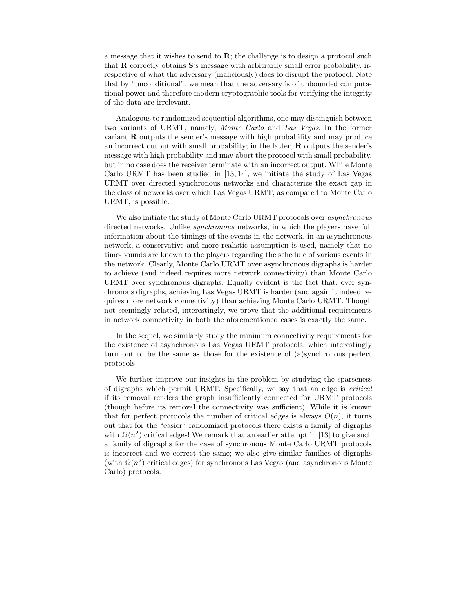a message that it wishes to send to  $\mathbf{R}$ ; the challenge is to design a protocol such that R correctly obtains S's message with arbitrarily small error probability, irrespective of what the adversary (maliciously) does to disrupt the protocol. Note that by "unconditional", we mean that the adversary is of unbounded computational power and therefore modern cryptographic tools for verifying the integrity of the data are irrelevant.

Analogous to randomized sequential algorithms, one may distinguish between two variants of URMT, namely, Monte Carlo and Las Vegas. In the former variant  **outputs the sender's message with high probability and may produce** an incorrect output with small probability; in the latter,  $\bf{R}$  outputs the sender's message with high probability and may abort the protocol with small probability, but in no case does the receiver terminate with an incorrect output. While Monte Carlo URMT has been studied in [13, 14], we initiate the study of Las Vegas URMT over directed synchronous networks and characterize the exact gap in the class of networks over which Las Vegas URMT, as compared to Monte Carlo URMT, is possible.

We also initiate the study of Monte Carlo URMT protocols over *asynchronous* directed networks. Unlike synchronous networks, in which the players have full information about the timings of the events in the network, in an asynchronous network, a conservative and more realistic assumption is used, namely that no time-bounds are known to the players regarding the schedule of various events in the network. Clearly, Monte Carlo URMT over asynchronous digraphs is harder to achieve (and indeed requires more network connectivity) than Monte Carlo URMT over synchronous digraphs. Equally evident is the fact that, over synchronous digraphs, achieving Las Vegas URMT is harder (and again it indeed requires more network connectivity) than achieving Monte Carlo URMT. Though not seemingly related, interestingly, we prove that the additional requirements in network connectivity in both the aforementioned cases is exactly the same.

In the sequel, we similarly study the minimum connectivity requirements for the existence of asynchronous Las Vegas URMT protocols, which interestingly turn out to be the same as those for the existence of (a)synchronous perfect protocols.

We further improve our insights in the problem by studying the sparseness of digraphs which permit URMT. Specifically, we say that an edge is critical if its removal renders the graph insufficiently connected for URMT protocols (though before its removal the connectivity was sufficient). While it is known that for perfect protocols the number of critical edges is always  $O(n)$ , it turns out that for the "easier" randomized protocols there exists a family of digraphs with  $\Omega(n^2)$  critical edges! We remark that an earlier attempt in [13] to give such a family of digraphs for the case of synchronous Monte Carlo URMT protocols is incorrect and we correct the same; we also give similar families of digraphs (with  $\Omega(n^2)$  critical edges) for synchronous Las Vegas (and asynchronous Monte Carlo) protocols.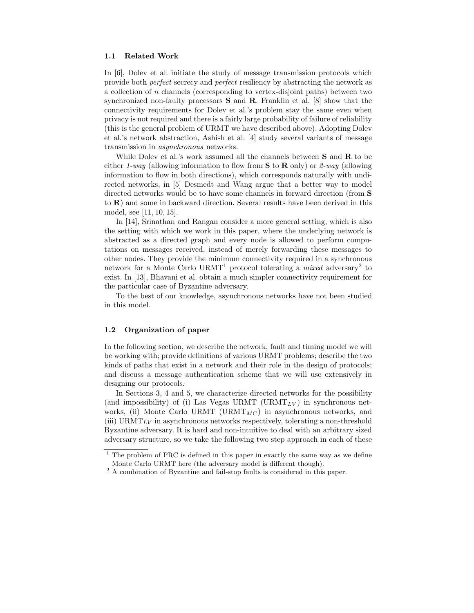### 1.1 Related Work

In [6], Dolev et al. initiate the study of message transmission protocols which provide both perfect secrecy and perfect resiliency by abstracting the network as a collection of n channels (corresponding to vertex-disjoint paths) between two synchronized non-faulty processors  $S$  and  $R$ . Franklin et al. [8] show that the connectivity requirements for Dolev et al.'s problem stay the same even when privacy is not required and there is a fairly large probability of failure of reliability (this is the general problem of URMT we have described above). Adopting Dolev et al.'s network abstraction, Ashish et al. [4] study several variants of message transmission in asynchronous networks.

While Dolev et al.'s work assumed all the channels between  $S$  and  $R$  to be either 1-way (allowing information to flow from  $S$  to  $R$  only) or 2-way (allowing information to flow in both directions), which corresponds naturally with undirected networks, in [5] Desmedt and Wang argue that a better way to model directed networks would be to have some channels in forward direction (from S to R) and some in backward direction. Several results have been derived in this model, see [11, 10, 15].

In [14], Srinathan and Rangan consider a more general setting, which is also the setting with which we work in this paper, where the underlying network is abstracted as a directed graph and every node is allowed to perform computations on messages received, instead of merely forwarding these messages to other nodes. They provide the minimum connectivity required in a synchronous network for a Monte Carlo URMT<sup>1</sup> protocol tolerating a *mixed* adversary<sup>2</sup> to exist. In [13], Bhavani et al. obtain a much simpler connectivity requirement for the particular case of Byzantine adversary.

To the best of our knowledge, asynchronous networks have not been studied in this model.

### 1.2 Organization of paper

In the following section, we describe the network, fault and timing model we will be working with; provide definitions of various URMT problems; describe the two kinds of paths that exist in a network and their role in the design of protocols; and discuss a message authentication scheme that we will use extensively in designing our protocols.

In Sections 3, 4 and 5, we characterize directed networks for the possibility (and impossibility) of (i) Las Vegas URMT (URMT<sub>LV</sub>) in synchronous networks, (ii) Monte Carlo URMT (URMT $_{MC}$ ) in asynchronous networks, and (iii) URMT<sub>LV</sub> in asynchronous networks respectively, tolerating a non-threshold Byzantine adversary. It is hard and non-intuitive to deal with an arbitrary sized adversary structure, so we take the following two step approach in each of these

<sup>&</sup>lt;sup>1</sup> The problem of PRC is defined in this paper in exactly the same way as we define Monte Carlo URMT here (the adversary model is different though).

 $^{\rm 2}$  A combination of Byzantine and fail-stop faults is considered in this paper.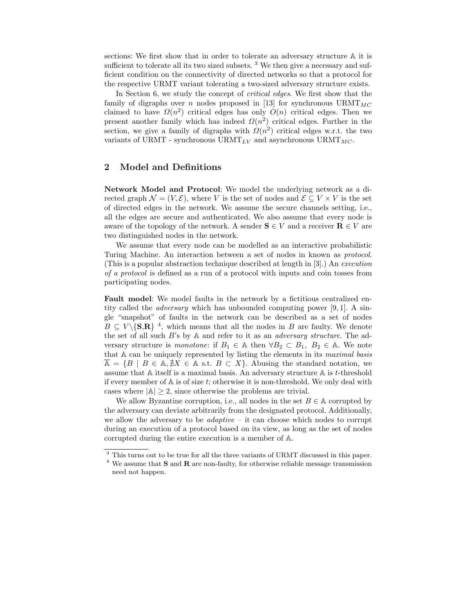sections: We first show that in order to tolerate an adversary structure A it is sufficient to tolerate all its two sized subsets.  $3$  We then give a necessary and sufficient condition on the connectivity of directed networks so that a protocol for the respective URMT variant tolerating a two-sized adversary structure exists.

In Section 6, we study the concept of *critical edges*. We first show that the family of digraphs over n nodes proposed in [13] for synchronous  $\text{URMT}_{MC}$ claimed to have  $\Omega(n^2)$  critical edges has only  $O(n)$  critical edges. Then we present another family which has indeed  $\Omega(n^2)$  critical edges. Further in the section, we give a family of digraphs with  $\Omega(n^2)$  critical edges w.r.t. the two variants of URMT - synchronous  $\text{URMT}_{LV}$  and asynchronous  $\text{URMT}_{MC}$ .

## 2 Model and Definitions

Network Model and Protocol: We model the underlying network as a directed graph  $\mathcal{N} = (V, \mathcal{E})$ , where V is the set of nodes and  $\mathcal{E} \subseteq V \times V$  is the set of directed edges in the network. We assume the secure channels setting, i.e., all the edges are secure and authenticated. We also assume that every node is aware of the topology of the network. A sender  $S \in V$  and a receiver  $R \in V$  are two distinguished nodes in the network.

We assume that every node can be modelled as an interactive probabilistic Turing Machine. An interaction between a set of nodes in known as protocol. (This is a popular abstraction technique described at length in [3].) An execution of a protocol is defined as a run of a protocol with inputs and coin tosses from participating nodes.

Fault model: We model faults in the network by a fictitious centralized entity called the *adversary* which has unbounded computing power [9, 1]. A single "snapshot" of faults in the network can be described as a set of nodes  $B \subseteq V \setminus {\bf{S,R}}$ <sup>4</sup>, which means that all the nodes in B are faulty. We denote the set of all such  $B$ 's by  $A$  and refer to it as an *adversary structure*. The adversary structure is monotone: if  $B_1 \in A$  then  $\forall B_2 \subset B_1$ ,  $B_2 \in A$ . We note that A can be uniquely represented by listing the elements in its maximal basis  $A = \{B \mid B \in A, \nexists X \in A \text{ s.t. } B \subset X\}.$  Abusing the standard notation, we assume that A itself is a maximal basis. An adversary structure A is t-threshold if every member of  $A$  is of size  $t$ ; otherwise it is non-threshold. We only deal with cases where  $|A| \geq 2$ , since otherwise the problems are trivial.

We allow Byzantine corruption, i.e., all nodes in the set  $B \in \mathbb{A}$  corrupted by the adversary can deviate arbitrarily from the designated protocol. Additionally, we allow the adversary to be  $adaptive - it$  can choose which nodes to corrupt during an execution of a protocol based on its view, as long as the set of nodes corrupted during the entire execution is a member of A.

<sup>3</sup> This turns out to be true for all the three variants of URMT discussed in this paper.

 $^4$  We assume that  ${\bf S}$  and  ${\bf R}$  are non-faulty, for otherwise reliable message transmission need not happen.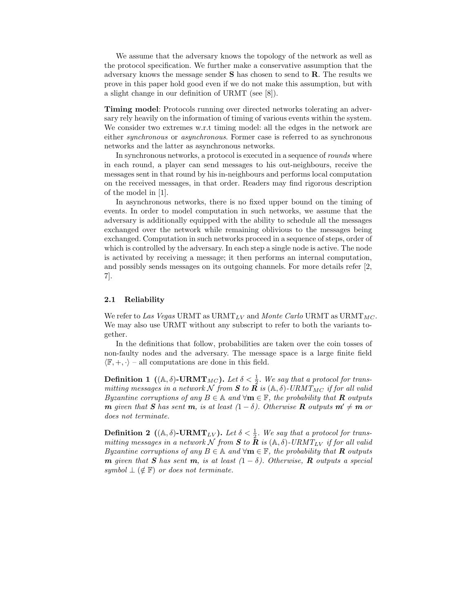We assume that the adversary knows the topology of the network as well as the protocol specification. We further make a conservative assumption that the adversary knows the message sender S has chosen to send to R. The results we prove in this paper hold good even if we do not make this assumption, but with a slight change in our definition of URMT (see [8]).

Timing model: Protocols running over directed networks tolerating an adversary rely heavily on the information of timing of various events within the system. We consider two extremes w.r.t timing model: all the edges in the network are either synchronous or asynchronous. Former case is referred to as synchronous networks and the latter as asynchronous networks.

In synchronous networks, a protocol is executed in a sequence of rounds where in each round, a player can send messages to his out-neighbours, receive the messages sent in that round by his in-neighbours and performs local computation on the received messages, in that order. Readers may find rigorous description of the model in [1].

In asynchronous networks, there is no fixed upper bound on the timing of events. In order to model computation in such networks, we assume that the adversary is additionally equipped with the ability to schedule all the messages exchanged over the network while remaining oblivious to the messages being exchanged. Computation in such networks proceed in a sequence of steps, order of which is controlled by the adversary. In each step a single node is active. The node is activated by receiving a message; it then performs an internal computation, and possibly sends messages on its outgoing channels. For more details refer [2, 7].

### 2.1 Reliability

We refer to Las Vegas URMT as URMT<sub>LV</sub> and Monte Carlo URMT as URMT<sub>MC</sub>. We may also use URMT without any subscript to refer to both the variants together.

In the definitions that follow, probabilities are taken over the coin tosses of non-faulty nodes and the adversary. The message space is a large finite field  $\langle \mathbb{F}, +, \cdot \rangle$  – all computations are done in this field.

**Definition 1** ((A,  $\delta$ )-URMT<sub>MC</sub>). Let  $\delta < \frac{1}{2}$ . We say that a protocol for transmitting messages in a network  $\cal N$  from  $\bm S$  to  $\tilde{\bm R}$  is (A,  $\delta)$ -URMT $_{MC}$  if for all valid Byzantine corruptions of any  $B \in \mathbb{A}$  and  $\forall m \in \mathbb{F}$ , the probability that **R** outputs **m** given that **S** has sent **m**, is at least  $(1 - \delta)$ . Otherwise **R** outputs  $m' \neq m$  or does not terminate.

**Definition 2** ((A,  $\delta$ )-URMT<sub>LV</sub>). Let  $\delta < \frac{1}{2}$ . We say that a protocol for transmitting messages in a network N from S to R is  $(A, \delta)$ -URMT<sub>LV</sub> if for all valid Byzantine corruptions of any  $B \in \mathbb{A}$  and  $\forall m \in \mathbb{F}$ , the probability that **R** outputs **m** given that S has sent **m**, is at least  $(1 - \delta)$ . Otherwise, **R** outputs a special symbol  $\perp$  ( $\notin$  F) or does not terminate.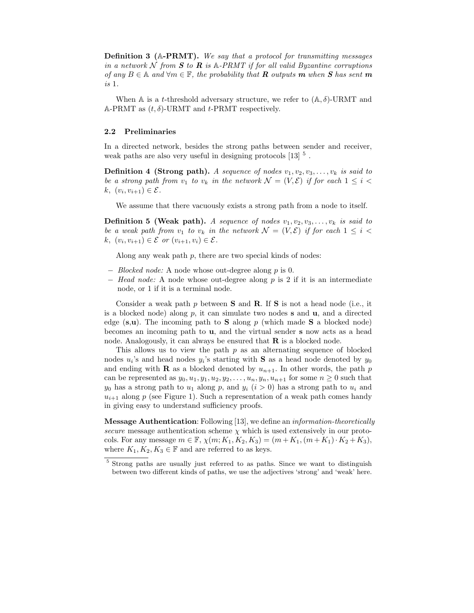Definition 3 (A-PRMT). We say that a protocol for transmitting messages in a network N from **S** to **R** is  $\mathbb{A}$ -PRMT if for all valid Byzantine corruptions of any  $B \in \mathbb{A}$  and  $\forall m \in \mathbb{F}$ , the probability that **R** outputs **m** when **S** has sent **m** is 1.

When A is a t-threshold adversary structure, we refer to  $(A, \delta)$ -URMT and A-PRMT as  $(t, \delta)$ -URMT and t-PRMT respectively.

### 2.2 Preliminaries

In a directed network, besides the strong paths between sender and receiver, weak paths are also very useful in designing protocols  $[13]$ <sup>5</sup>.

**Definition 4 (Strong path).** A sequence of nodes  $v_1, v_2, v_3, \ldots, v_k$  is said to be a strong path from  $v_1$  to  $v_k$  in the network  $\mathcal{N} = (V, \mathcal{E})$  if for each  $1 \leq i <$  $k, (v_i, v_{i+1}) \in \mathcal{E}.$ 

We assume that there vacuously exists a strong path from a node to itself.

**Definition 5 (Weak path).** A sequence of nodes  $v_1, v_2, v_3, \ldots, v_k$  is said to be a weak path from  $v_1$  to  $v_k$  in the network  $\mathcal{N} = (V, \mathcal{E})$  if for each  $1 \leq i <$  $k, (v_i, v_{i+1}) \in \mathcal{E}$  or  $(v_{i+1}, v_i) \in \mathcal{E}$ .

Along any weak path  $p$ , there are two special kinds of nodes:

- − Blocked node: A node whose out-degree along p is 0.
- $-$  Head node: A node whose out-degree along p is 2 if it is an intermediate node, or 1 if it is a terminal node.

Consider a weak path p between **S** and **R**. If **S** is not a head node (i.e., it is a blocked node) along  $p$ , it can simulate two nodes  $s$  and  $u$ , and a directed edge  $(s, u)$ . The incoming path to **S** along p (which made **S** a blocked node) becomes an incoming path to u, and the virtual sender s now acts as a head node. Analogously, it can always be ensured that  $\bf{R}$  is a blocked node.

This allows us to view the path  $p$  as an alternating sequence of blocked nodes  $u_i$ 's and head nodes  $y_i$ 's starting with **S** as a head node denoted by  $y_0$ and ending with **R** as a blocked denoted by  $u_{n+1}$ . In other words, the path p can be represented as  $y_0, u_1, y_1, u_2, y_2, \ldots, u_n, y_n, u_{n+1}$  for some  $n \geq 0$  such that  $y_0$  has a strong path to  $u_1$  along p, and  $y_i$   $(i > 0)$  has a strong path to  $u_i$  and  $u_{i+1}$  along p (see Figure 1). Such a representation of a weak path comes handy in giving easy to understand sufficiency proofs.

Message Authentication: Following [13], we define an information-theoretically secure message authentication scheme  $\chi$  which is used extensively in our protocols. For any message  $m \in \mathbb{F}$ ,  $\chi(m; K_1, K_2, K_3) = (m + K_1, (m + K_1) \cdot K_2 + K_3)$ , where  $K_1, K_2, K_3 \in \mathbb{F}$  and are referred to as keys.

<sup>5</sup> Strong paths are usually just referred to as paths. Since we want to distinguish between two different kinds of paths, we use the adjectives 'strong' and 'weak' here.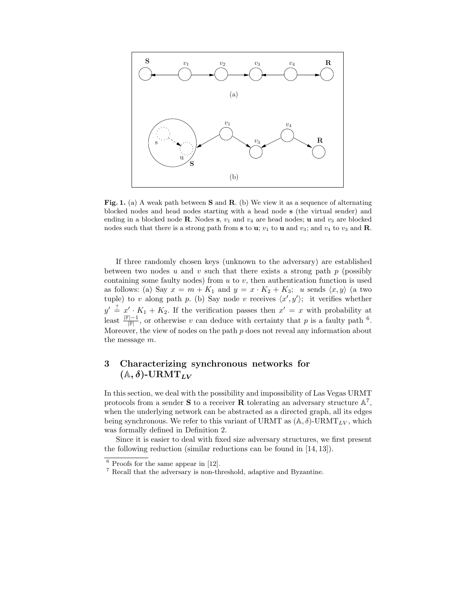

Fig. 1. (a) A weak path between **S** and **R**. (b) We view it as a sequence of alternating blocked nodes and head nodes starting with a head node s (the virtual sender) and ending in a blocked node **R**. Nodes s,  $v_1$  and  $v_4$  are head nodes; **u** and  $v_3$  are blocked nodes such that there is a strong path from s to u;  $v_1$  to u and  $v_3$ ; and  $v_4$  to  $v_3$  and **R**.

If three randomly chosen keys (unknown to the adversary) are established between two nodes u and v such that there exists a strong path  $p$  (possibly containing some faulty nodes) from  $u$  to  $v$ , then authentication function is used as follows: (a) Say  $x = m + K_1$  and  $y = x \cdot K_2 + K_3$ ; u sends  $\langle x, y \rangle$  (a two tuple) to v along path p. (b) Say node v receives  $\langle x', y' \rangle$ ; it verifies whether  $y' \stackrel{?}{=} x' \cdot K_1 + K_2$ . If the verification passes then  $x' = x$  with probability at least  $\frac{F|-1}{F|}$ , or otherwise v can deduce with certainty that p is a faulty path <sup>6</sup>. Moreover, the view of nodes on the path  $p$  does not reveal any information about the message m.

# 3 Characterizing synchronous networks for  $(A, \delta)$ -URMT<sub>LV</sub>

In this section, we deal with the possibility and impossibility of Las Vegas URMT protocols from a sender **S** to a receiver **R** tolerating an adversary structure  $\mathbb{A}^7$ , when the underlying network can be abstracted as a directed graph, all its edges being synchronous. We refer to this variant of URMT as  $(A, \delta)$ -URMT<sub>LV</sub>, which was formally defined in Definition 2.

Since it is easier to deal with fixed size adversary structures, we first present the following reduction (similar reductions can be found in [14, 13]).

 $6$  Proofs for the same appear in [12].

<sup>7</sup> Recall that the adversary is non-threshold, adaptive and Byzantine.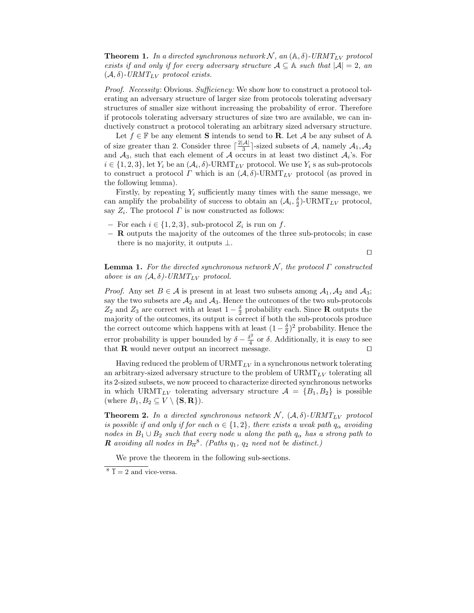**Theorem 1.** In a directed synchronous network  $N$ , an  $(A, \delta)$ -URMT<sub>LV</sub> protocol exists if and only if for every adversary structure  $A \subseteq A$  such that  $|A| = 2$ , and  $(\mathcal{A}, \delta)$ -URMT<sub>LV</sub> protocol exists.

Proof. Necessity: Obvious. Sufficiency: We show how to construct a protocol tolerating an adversary structure of larger size from protocols tolerating adversary structures of smaller size without increasing the probability of error. Therefore if protocols tolerating adversary structures of size two are available, we can inductively construct a protocol tolerating an arbitrary sized adversary structure.

Let  $f \in \mathbb{F}$  be any element **S** intends to send to **R**. Let A be any subset of A of size greater than 2. Consider three  $\lceil \frac{2|\mathcal{A}|}{3} \rceil$ -sized subsets of  $\mathcal{A}$ , namely  $\mathcal{A}_1, \mathcal{A}_2$ and  $A_3$ , such that each element of A occurs in at least two distinct  $A_i$ 's. For  $i \in \{1,2,3\}$ , let  $Y_i$  be an  $(\mathcal{A}_i, \delta)$ -URMT<sub>LV</sub> protocol. We use  $Y_i$  s as sub-protocols to construct a protocol  $\Gamma$  which is an  $(\mathcal{A}, \delta)$ -URMT<sub>LV</sub> protocol (as proved in the following lemma).

Firstly, by repeating  $Y_i$  sufficiently many times with the same message, we can amplify the probability of success to obtain an  $(\mathcal{A}_i, \frac{\delta}{2})$ -URMT<sub>LV</sub> protocol, say  $Z_i$ . The protocol  $\Gamma$  is now constructed as follows:

- − For each  $i \in \{1, 2, 3\}$ , sub-protocol  $Z_i$  is run on f.
- − R outputs the majority of the outcomes of the three sub-protocols; in case there is no majority, it outputs  $\bot$ .

⊓⊔

**Lemma 1.** For the directed synchronous network N, the protocol  $\Gamma$  constructed above is an  $(A, \delta)$ -URMT<sub>LV</sub> protocol.

*Proof.* Any set  $B \in \mathcal{A}$  is present in at least two subsets among  $A_1, A_2$  and  $A_3$ ; say the two subsets are  $A_2$  and  $A_3$ . Hence the outcomes of the two sub-protocols  $Z_2$  and  $Z_3$  are correct with at least  $1-\frac{\delta}{2}$  probability each. Since **R** outputs the majority of the outcomes, its output is correct if both the sub-protocols produce the correct outcome which happens with at least  $(1-\frac{\delta}{2})^2$  probability. Hence the error probability is upper bounded by  $\delta - \frac{\delta^2}{4}$  $\frac{5}{4}$  or  $\delta$ . Additionally, it is easy to see that  ${\bf R}$  would never output an incorrect message.  $□$ 

Having reduced the problem of  $\text{URMT}_{LV}$  in a synchronous network tolerating an arbitrary-sized adversary structure to the problem of  $\text{URMT}_{LV}$  tolerating all its 2-sized subsets, we now proceed to characterize directed synchronous networks in which URMT<sub>LV</sub> tolerating adversary structure  $A = \{B_1, B_2\}$  is possible (where  $B_1, B_2 \subseteq V \setminus {\bf S, R}$ ).

**Theorem 2.** In a directed synchronous network  $N$ ,  $(A, \delta)$ -URMT<sub>LV</sub> protocol is possible if and only if for each  $\alpha \in \{1,2\}$ , there exists a weak path  $q_{\alpha}$  avoiding nodes in  $B_1 \cup B_2$  such that every node u along the path  $q_\alpha$  has a strong path to **R** avoiding all nodes in  $B_{\overline{\alpha}}^8$ . (Paths  $q_1$ ,  $q_2$  need not be distinct.)

We prove the theorem in the following sub-sections.

 $8 \bar{1} = 2$  and vice-versa.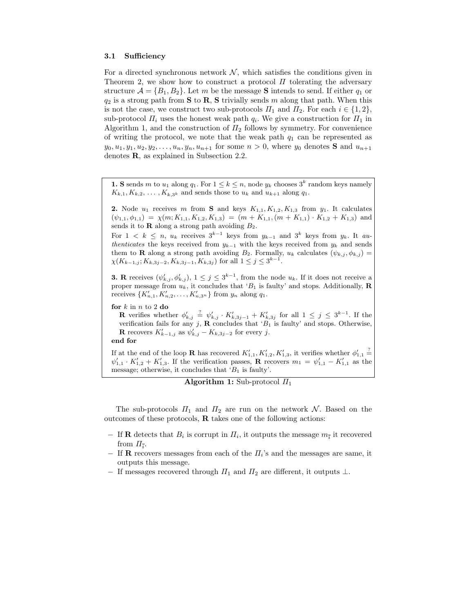#### 3.1 Sufficiency

For a directed synchronous network  $N$ , which satisfies the conditions given in Theorem 2, we show how to construct a protocol  $\Pi$  tolerating the adversary structure  $\mathcal{A} = \{B_1, B_2\}$ . Let m be the message **S** intends to send. If either  $q_1$  or  $q_2$  is a strong path from **S** to **R**, **S** trivially sends m along that path. When this is not the case, we construct two sub-protocols  $\Pi_1$  and  $\Pi_2$ . For each  $i \in \{1,2\}$ , sub-protocol  $\Pi_i$  uses the honest weak path  $q_i$ . We give a construction for  $\Pi_1$  in Algorithm 1, and the construction of  $\Pi_2$  follows by symmetry. For convenience of writing the protocol, we note that the weak path  $q_1$  can be represented as  $y_0, u_1, y_1, u_2, y_2, \ldots, u_n, y_n, u_{n+1}$  for some  $n > 0$ , where  $y_0$  denotes **S** and  $u_{n+1}$ denotes R, as explained in Subsection 2.2.

**1. S** sends m to  $u_1$  along  $q_1$ . For  $1 \leq k \leq n$ , node  $y_k$  chooses  $3^k$  random keys namely  $K_{k,1}, K_{k,2}, \ldots, K_{k,3^k}$  and sends those to  $u_k$  and  $u_{k+1}$  along  $q_1$ .

**2.** Node  $u_1$  receives m from **S** and keys  $K_{1,1}, K_{1,2}, K_{1,3}$  from  $y_1$ . It calculates  $(\psi_{1,1}, \phi_{1,1}) = \chi(m; K_{1,1}, K_{1,2}, K_{1,3}) = (m + K_{1,1}, (m + K_{1,1}) \cdot K_{1,2} + K_{1,3})$  and sends it to  **along a strong path avoiding**  $B_2$ **.** 

For  $1 \leq k \leq n$ ,  $u_k$  receives  $3^{k-1}$  keys from  $y_{k-1}$  and  $3^k$  keys from  $y_k$ . It au*thenticates* the keys received from  $y_{k-1}$  with the keys received from  $y_k$  and sends them to **R** along a strong path avoiding  $B_2$ . Formally,  $u_k$  calculates  $(\psi_{k,i}, \phi_{k,i})$  =  $\chi(K_{k-1,j}; K_{k,3j-2}, K_{k,3j-1}, K_{k,3j})$  for all  $1 \leq j \leq 3^{k-1}$ .

**3.** R receives  $(\psi'_{k,j}, \phi'_{k,j})$ ,  $1 \leq j \leq 3^{k-1}$ , from the node  $u_k$ . If it does not receive a proper message from  $u_k$ , it concludes that 'B<sub>1</sub> is faulty' and stops. Additionally, **R** receives  $\{K'_{n,1}, K'_{n,2}, \ldots, K'_{n,3^n}\}\$  from  $y_n$  along  $q_1$ .

for  $k$  in  $n$  to 2 do

**R** verifies whether  $\phi'_{k,j} \stackrel{?}{=} \psi'_{k,j} \cdot K'_{k,3j-1} + K'_{k,3j}$  for all  $1 \leq j \leq 3^{k-1}$ . If the verification fails for any j,  $\bf{R}$  concludes that ' $B_1$  is faulty' and stops. Otherwise, **R** recovers  $K'_{k-1,j}$  as  $\psi'_{k,j} - K_{k,3j-2}$  for every j.

end for

If at the end of the loop **R** has recovered  $K'_{1,1}, K'_{1,2}, K'_{1,3}$ , it verifies whether  $\phi'_{1,1} \stackrel{?}{=}$  $\psi'_{1,1} \cdot K'_{1,2} + K'_{1,3}$ . If the verification passes, **R** recovers  $m_1 = \psi'_{1,1} - K'_{1,1}$  as the message; otherwise, it concludes that  $B_1$  is faulty'.

```
Algorithm 1: Sub-protocol \Pi_1
```
The sub-protocols  $\Pi_1$  and  $\Pi_2$  are run on the network N. Based on the outcomes of these protocols, R takes one of the following actions:

- − If **R** detects that  $B_i$  is corrupt in  $\Pi_i$ , it outputs the message  $m_i$  it recovered from  $\Pi_{\bar{i}}$ .
- $-$  If **R** recovers messages from each of the  $\Pi_i$ 's and the messages are same, it outputs this message.
- − If messages recovered through  $\Pi_1$  and  $\Pi_2$  are different, it outputs  $\bot$ .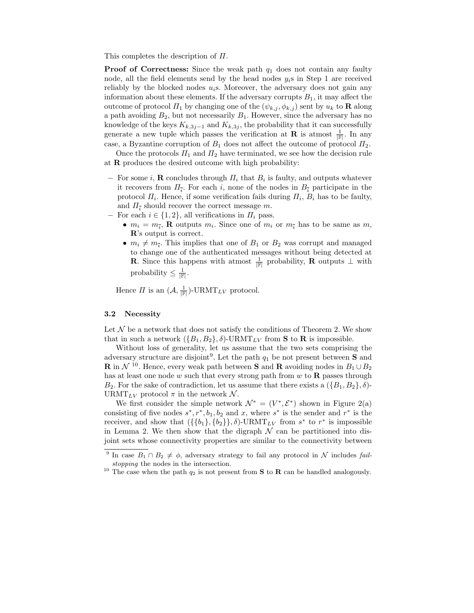This completes the description of Π.

**Proof of Correctness:** Since the weak path  $q_1$  does not contain any faulty node, all the field elements send by the head nodes  $y_i$ s in Step 1 are received reliably by the blocked nodes  $u_i$ s. Moreover, the adversary does not gain any information about these elements. If the adversary corrupts  $B_1$ , it may affect the outcome of protocol  $\Pi_1$  by changing one of the  $(\psi_{k,j}, \phi_{k,j})$  sent by  $u_k$  to **R** along a path avoiding  $B_2$ , but not necessarily  $B_1$ . However, since the adversary has no knowledge of the keys  $K_{k,3j-1}$  and  $K_{k,3j}$ , the probability that it can successfully generate a new tuple which passes the verification at **R** is atmost  $\frac{1}{\mathbb{F}}$ . In any case, a Byzantine corruption of  $B_1$  does not affect the outcome of protocol  $\Pi_2$ .

Once the protocols  $\Pi_1$  and  $\Pi_2$  have terminated, we see how the decision rule at R produces the desired outcome with high probability:

- $-$  For some i, **R** concludes through  $\Pi_i$  that  $B_i$  is faulty, and outputs whatever it recovers from  $\Pi_{\bar{i}}$ . For each i, none of the nodes in  $B_{\bar{i}}$  participate in the protocol  $\Pi_i$ . Hence, if some verification fails during  $\Pi_i$ ,  $B_i$  has to be faulty, and  $\Pi_{\bar{i}}$  should recover the correct message  $m$ .
- − For each  $i \in \{1, 2\}$ , all verifications in  $\Pi_i$  pass.
	- $m_i = m_{\overline{i}}$ , **R** outputs  $m_i$ . Since one of  $m_i$  or  $m_{\overline{i}}$  has to be same as  $m$ , R's output is correct.
	- $m_i \neq m_{\overline{i}}$ . This implies that one of  $B_1$  or  $B_2$  was corrupt and managed to change one of the authenticated messages without being detected at **R**. Since this happens with atmost  $\frac{1}{\mathbb{F}}$  probability, **R** outputs  $\perp$  with probability  $\leq \frac{1}{|\mathbb{F}|}$ .

Hence  $\Pi$  is an  $(\mathcal{A}, \frac{1}{\|\mathbb{F}|})$ -URMT<sub>LV</sub> protocol.

### 3.2 Necessity

Let  $\mathcal N$  be a network that does not satisfy the conditions of Theorem 2. We show that in such a network  $({B_1, B_2}, \delta)$ -URMT<sub>LV</sub> from **S** to **R** is impossible.

Without loss of generality, let us assume that the two sets comprising the adversary structure are disjoint<sup>9</sup>. Let the path  $q_1$  be not present between **S** and **R** in  $\mathcal{N}$  <sup>10</sup>. Hence, every weak path between **S** and **R** avoiding nodes in  $B_1 \cup B_2$ has at least one node  $w$  such that every strong path from  $w$  to  $\bf{R}$  passes through  $B_2$ . For the sake of contradiction, let us assume that there exists a  $({B_1, B_2}, \delta)$ -URMT<sub>LV</sub> protocol  $\pi$  in the network N.

We first consider the simple network  $\mathcal{N}^* = (V^*, \mathcal{E}^*)$  shown in Figure 2(a) consisting of five nodes  $s^*, r^*, b_1, b_2$  and x, where  $s^*$  is the sender and  $r^*$  is the receiver, and show that  $({\{b_1\}, \{b_2\}\}, \delta)$ -URMT<sub>LV</sub> from  $s^*$  to  $r^*$  is impossible in Lemma 2. We then show that the digraph  $\mathcal N$  can be partitioned into disjoint sets whose connectivity properties are similar to the connectivity between

<sup>&</sup>lt;sup>9</sup> In case  $B_1 \cap B_2 \neq \emptyset$ , adversary strategy to fail any protocol in N includes fail*stopping* the nodes in the intersection.

<sup>&</sup>lt;sup>10</sup> The case when the path  $q_2$  is not present from **S** to **R** can be handled analogously.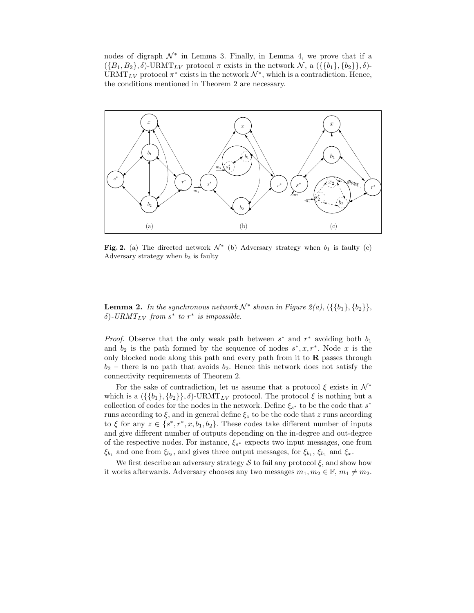nodes of digraph  $\mathcal{N}^*$  in Lemma 3. Finally, in Lemma 4, we prove that if a  $({B_1, B_2}, \delta)$ -URMT<sub>LV</sub> protocol  $\pi$  exists in the network  $\mathcal{N}$ , a  $({{\b_1}, {\b_2}}), \delta$ )-URMT<sub>LV</sub> protocol  $\pi^*$  exists in the network  $\mathcal{N}^*$ , which is a contradiction. Hence, the conditions mentioned in Theorem 2 are necessary.



Fig. 2. (a) The directed network  $\mathcal{N}^*$  (b) Adversary strategy when  $b_1$  is faulty (c) Adversary strategy when  $b_2$  is faulty

**Lemma 2.** In the synchronous network  $\mathcal{N}^*$  shown in Figure 2(a),  $({\lbrace b_1 \rbrace}, {\lbrace b_2 \rbrace})$ ,  $\delta$ )-URMT<sub>LV</sub> from  $s^*$  to  $r^*$  is impossible.

*Proof.* Observe that the only weak path between  $s^*$  and  $r^*$  avoiding both  $b_1$ and  $b_2$  is the path formed by the sequence of nodes  $s^*, x, r^*$ . Node x is the only blocked node along this path and every path from it to  $R$  passes through  $b_2$  – there is no path that avoids  $b_2$ . Hence this network does not satisfy the connectivity requirements of Theorem 2.

For the sake of contradiction, let us assume that a protocol  $\xi$  exists in  $\mathcal{N}^*$ which is a  $({\{\{b_1\},\{b_2\}\},\delta)}$ -URMT<sub>LV</sub> protocol. The protocol  $\xi$  is nothing but a collection of codes for the nodes in the network. Define  $\xi_{s^*}$  to be the code that  $s^*$ runs according to  $\xi$ , and in general define  $\xi_z$  to be the code that z runs according to  $\xi$  for any  $z \in \{s^*, r^*, x, b_1, b_2\}$ . These codes take different number of inputs and give different number of outputs depending on the in-degree and out-degree of the respective nodes. For instance,  $\xi_{s^*}$  expects two input messages, one from  $\xi_{b_1}$  and one from  $\xi_{b_2}$ , and gives three output messages, for  $\xi_{b_1}$ ,  $\xi_{b_1}$  and  $\xi_x$ .

We first describe an adversary strategy  $S$  to fail any protocol  $\xi$ , and show how it works afterwards. Adversary chooses any two messages  $m_1, m_2 \in \mathbb{F}, m_1 \neq m_2$ .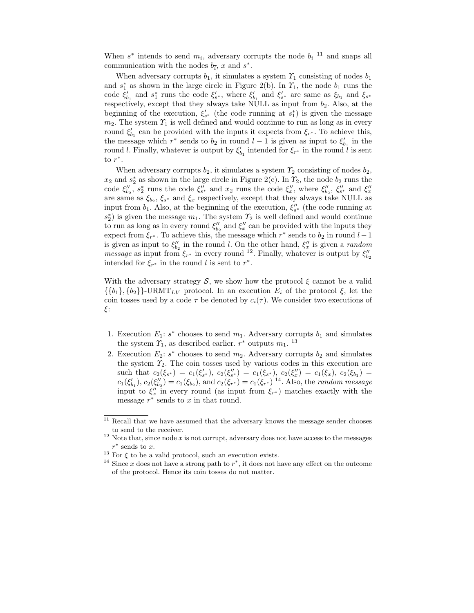When  $s^*$  intends to send  $m_i$ , adversary corrupts the node  $b_i$ <sup>11</sup> and snaps all communication with the nodes  $b_{\overline{i}}$ , x and  $s^*$ .

When adversary corrupts  $b_1$ , it simulates a system  $\mathcal{T}_1$  consisting of nodes  $b_1$ and  $s_1^*$  as shown in the large circle in Figure 2(b). In  $\mathcal{T}_1$ , the node  $b_1$  runs the code  $\xi'_{b_1}$  and  $s_1^*$  runs the code  $\xi'_{s^*}$ , where  $\xi'_{b_1}$  and  $\xi'_{s^*}$  are same as  $\xi_{b_1}$  and  $\xi_{s^*}$ respectively, except that they always take NULL as input from  $b_2$ . Also, at the beginning of the execution,  $\xi'_{s^*}$  (the code running at  $s_1^*$ ) is given the message  $m_2$ . The system  $\mathcal{T}_1$  is well defined and would continue to run as long as in every round  $\xi'_{b_1}$  can be provided with the inputs it expects from  $\xi_{r^*}$ . To achieve this, the message which  $r^*$  sends to  $b_2$  in round  $l-1$  is given as input to  $\xi'_{b_1}$  in the round l. Finally, whatever is output by  $\xi'_{b_1}$  intended for  $\xi_{r^*}$  in the round l is sent to  $r^*$ .

When adversary corrupts  $b_2$ , it simulates a system  $\mathcal{T}_2$  consisting of nodes  $b_2$ ,  $x_2$  and  $s_2^*$  as shown in the large circle in Figure 2(c). In  $\mathcal{T}_2$ , the node  $b_2$  runs the code  $\xi''_{b_2}$ ,  $s_2^*$  runs the code  $\xi''_{s^*}$  and  $x_2$  runs the code  $\xi''_x$ , where  $\xi''_{b_2}$ ,  $\xi''_{s^*}$  and  $\xi''_x$ are same as  $\xi_{b_2}, \xi_{s^*}$  and  $\xi_x$  respectively, except that they always take NULL as input from  $b_1$ . Also, at the beginning of the execution,  $\xi''_{s^*}$  (the code running at  $s_2^*$ ) is given the message  $m_1$ . The system  $\mathcal{T}_2$  is well defined and would continue to run as long as in every round  $\xi_{b_2}''$  and  $\xi_x''$  can be provided with the inputs they expect from  $\xi_{r^*}$ . To achieve this, the message which  $r^*$  sends to  $b_2$  in round  $l-1$ is given as input to  $\xi_{b_2}''$  in the round l. On the other hand,  $\xi_x''$  is given a random *message* as input from  $\xi_{r^*}$  in every round <sup>12</sup>. Finally, whatever is output by  $\xi''_{b_2}$ intended for  $\xi_{r^*}$  in the round l is sent to  $r^*$ .

With the adversary strategy  $S$ , we show how the protocol  $\xi$  cannot be a valid  $\{\{b_1\}, \{b_2\}\}\text{-}\text{URMT}_{LV}$  protocol. In an execution  $E_i$  of the protocol  $\xi$ , let the coin tosses used by a code  $\tau$  be denoted by  $c_i(\tau)$ . We consider two executions of ξ:

- 1. Execution  $E_1$ :  $s^*$  chooses to send  $m_1$ . Adversary corrupts  $b_1$  and simulates the system  $\mathcal{T}_1$ , as described earlier.  $r^*$  outputs  $m_1$ . <sup>13</sup>
- 2. Execution  $E_2$ :  $s^*$  chooses to send  $m_2$ . Adversary corrupts  $b_2$  and simulates the system  $\mathcal{T}_2$ . The coin tosses used by various codes in this execution are such that  $c_2(\xi_{s^*}) = c_1(\xi'_{s^*})$ ,  $c_2(\xi''_{s^*}) = c_1(\xi_{s^*})$ ,  $c_2(\xi''_x) = c_1(\xi_x)$ ,  $c_2(\xi_{b_1}) = c_2(\xi_{b_2})$  $c_1(\xi'_{b_1}), c_2(\xi''_{b_2}) = c_1(\xi_{b_2}),$  and  $c_2(\xi_{r^*}) = c_1(\xi_{r^*})$ <sup>14</sup>. Also, the *random message* input to  $\xi''_x$  in every round (as input from  $\xi_{r^*}$ ) matches exactly with the message  $r^*$  sends to  $x$  in that round.

 $11$  Recall that we have assumed that the adversary knows the message sender chooses to send to the receiver.

 $12$  Note that, since node x is not corrupt, adversary does not have access to the messages  $r^*$  sends to x.

 $^{13}$  For  $\xi$  to be a valid protocol, such an execution exists.

<sup>&</sup>lt;sup>14</sup> Since x does not have a strong path to  $r^*$ , it does not have any effect on the outcome of the protocol. Hence its coin tosses do not matter.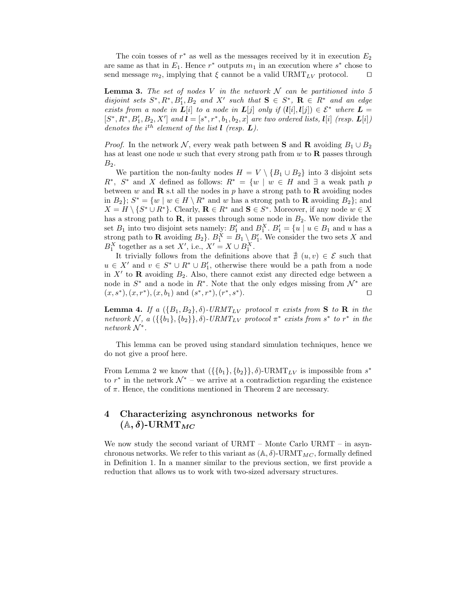The coin tosses of  $r^*$  as well as the messages received by it in execution  $E_2$ are same as that in  $E_1$ . Hence  $r^*$  outputs  $m_1$  in an execution where  $s^*$  chose to send message  $m_2$ , implying that  $\xi$  cannot be a valid URMT<sub>LV</sub> protocol. □

**Lemma 3.** The set of nodes V in the network  $\mathcal N$  can be partitioned into 5 disjoint sets  $S^*, R^*, B'_1, B_2$  and X' such that  $S \in S^*, R \in R^*$  and an edge exists from a node in  $L[i]$  to a node in  $L[j]$  only if  $(l[i], l[j]) \in \mathcal{E}^*$  where  $L =$  $[S^*, R^*, B'_1, B_2, X']$  and  $\mathbf{l} = [s^*, r^*, b_1, b_2, x]$  are two ordered lists,  $\mathbf{l}[i]$  (resp.  $\mathbf{L}[i]$ ) denotes the  $i^{th}$  element of the list  $\mathbf{l}$  (resp.  $\mathbf{L}$ ).

*Proof.* In the network N, every weak path between S and R avoiding  $B_1 \cup B_2$ has at least one node w such that every strong path from  $w$  to  $\bf{R}$  passes through  $B_2$ .

We partition the non-faulty nodes  $H = V \setminus \{B_1 \cup B_2\}$  into 3 disjoint sets  $R^*$ ,  $S^*$  and X defined as follows:  $R^* = \{w \mid w \in H \text{ and } \exists \text{ a weak path } p\}$ between w and  $\bf{R}$  s.t all the nodes in p have a strong path to  $\bf{R}$  avoiding nodes in  $B_2$ ;  $S^* = \{w \mid w \in H \setminus R^* \text{ and } w \text{ has a strong path to } \mathbf{R} \text{ avoiding } B_2\}$ ; and  $X = H \setminus \{S^* \cup R^*\}.$  Clearly,  $\mathbf{R} \in R^*$  and  $\mathbf{S} \in S^*$ . Moreover, if any node  $w \in X$ has a strong path to  $\mathbf{R}$ , it passes through some node in  $B_2$ . We now divide the set  $B_1$  into two disjoint sets namely:  $B'_1$  and  $B_1^X$ .  $B'_1 = \{u \mid u \in B_1 \text{ and } u \text{ has a }$ strong path to **R** avoiding  $B_2$ .  $B_1^X = B_1 \setminus B'_1$ . We consider the two sets X and  $B_1^X$  together as a set X', i.e.,  $X' = X \cup B_1^X$ .

It trivially follows from the definitions above that  $\frac{A}{A}(u,v) \in \mathcal{E}$  such that  $u \in X'$  and  $v \in S^* \cup R^* \cup B'_1$ , otherwise there would be a path from a node in  $X'$  to  $\bf{R}$  avoiding  $B_2$ . Also, there cannot exist any directed edge between a node in  $S^*$  and a node in  $R^*$ . Note that the only edges missing from  $\mathcal{N}^*$  are  $(x, s^*), (x, r^*), (x, b_1)$  and  $(s^*, r^*), (r^*, s^*)$ ). ⊓⊔

**Lemma 4.** If a  $({B_1, B_2}, \delta)$ -URMT<sub>LV</sub> protocol  $\pi$  exists from S to R in the network N, a  $({\{b_1\}, \{b_2\}\}, \delta)$ -URM $T_{LV}$  protocol  $\pi^*$  exists from  $s^*$  to  $r^*$  in the  $network N^*$ .

This lemma can be proved using standard simulation techniques, hence we do not give a proof here.

From Lemma 2 we know that  $({\{\{b_1\}, \{b_2\}\}, \delta)}$ -URMT<sub>LV</sub> is impossible from  $s^*$ to  $r^*$  in the network  $\mathcal{N}^*$  – we arrive at a contradiction regarding the existence of  $\pi$ . Hence, the conditions mentioned in Theorem 2 are necessary.

# 4 Characterizing asynchronous networks for  $(A, \delta)$ -URM $T_{MC}$

We now study the second variant of URMT – Monte Carlo URMT – in asynchronous networks. We refer to this variant as  $(A, \delta)$ -URMT<sub>MC</sub>, formally defined in Definition 1. In a manner similar to the previous section, we first provide a reduction that allows us to work with two-sized adversary structures.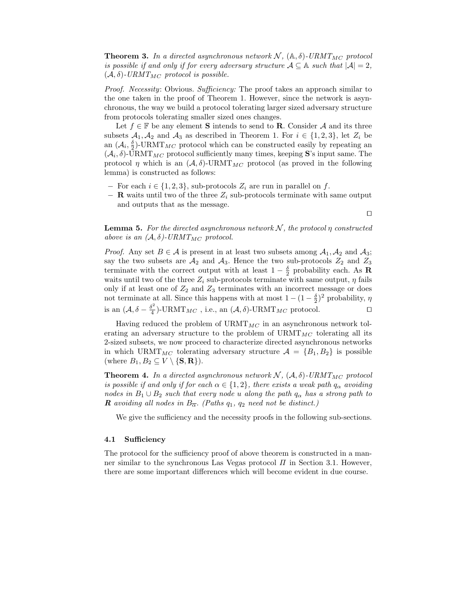**Theorem 3.** In a directed asynchronous network  $N$ ,  $(A, \delta)$ -URMT<sub>MC</sub> protocol is possible if and only if for every adversary structure  $A \subseteq A$  such that  $|A| = 2$ ,  $(\mathcal{A}, \delta)$ -URMT<sub>MC</sub> protocol is possible.

Proof. Necessity: Obvious. Sufficiency: The proof takes an approach similar to the one taken in the proof of Theorem 1. However, since the network is asynchronous, the way we build a protocol tolerating larger sized adversary structure from protocols tolerating smaller sized ones changes.

Let  $f \in \mathbb{F}$  be any element **S** intends to send to **R**. Consider A and its three subsets  $A_1, A_2$  and  $A_3$  as described in Theorem 1. For  $i \in \{1, 2, 3\}$ , let  $Z_i$  be an  $(\mathcal{A}_i, \frac{\delta}{2})$ -URMT<sub>MC</sub> protocol which can be constructed easily by repeating an  $(\mathcal{A}_i, \delta)$ -URMT<sub>MC</sub> protocol sufficiently many times, keeping S's input same. The protocol  $\eta$  which is an  $(\mathcal{A}, \delta)$ -URMT<sub>MC</sub> protocol (as proved in the following lemma) is constructed as follows:

- − For each  $i \in \{1, 2, 3\}$ , sub-protocols  $Z_i$  are run in parallel on f.
- $-$  **R** waits until two of the three  $Z_i$  sub-protocols terminate with same output and outputs that as the message.

⊓⊔

**Lemma 5.** For the directed asynchronous network  $N$ , the protocol  $\eta$  constructed above is an  $(A, \delta)$ -URMT<sub>MC</sub> protocol.

*Proof.* Any set  $B \in \mathcal{A}$  is present in at least two subsets among  $A_1, A_2$  and  $A_3$ ; say the two subsets are  $A_2$  and  $A_3$ . Hence the two sub-protocols  $Z_2$  and  $Z_3$ terminate with the correct output with at least  $1-\frac{\delta}{2}$  probability each. As **R** waits until two of the three  $Z_i$  sub-protocols terminate with same output,  $\eta$  fails only if at least one of  $Z_2$  and  $Z_3$  terminates with an incorrect message or does not terminate at all. Since this happens with at most  $1 - (1 - \frac{\delta}{2})^2$  probability,  $\eta$ is an  $(\mathcal{A}, \delta - \frac{\delta^2}{4})$  $\frac{\Sigma^2}{4}$ )-URMT<sub>MC</sub>, i.e., an  $(\mathcal{A}, \delta)$ -URMT<sub>MC</sub> protocol. □

Having reduced the problem of  $\text{URMT}_{MC}$  in an asynchronous network tolerating an adversary structure to the problem of  $\text{URMT}_{MC}$  tolerating all its 2-sized subsets, we now proceed to characterize directed asynchronous networks in which URMT<sub>MC</sub> tolerating adversary structure  $A = \{B_1, B_2\}$  is possible (where  $B_1, B_2 \subseteq V \setminus {\{S, R\}}$ ).

**Theorem 4.** In a directed asynchronous network  $N$ ,  $(A, \delta)$ -URMT<sub>MC</sub> protocol is possible if and only if for each  $\alpha \in \{1,2\}$ , there exists a weak path  $q_{\alpha}$  avoiding nodes in  $B_1 \cup B_2$  such that every node u along the path  $q_\alpha$  has a strong path to **R** avoiding all nodes in  $B_{\overline{\alpha}}$ . (Paths  $q_1$ ,  $q_2$  need not be distinct.)

We give the sufficiency and the necessity proofs in the following sub-sections.

### 4.1 Sufficiency

The protocol for the sufficiency proof of above theorem is constructed in a manner similar to the synchronous Las Vegas protocol  $\Pi$  in Section 3.1. However, there are some important differences which will become evident in due course.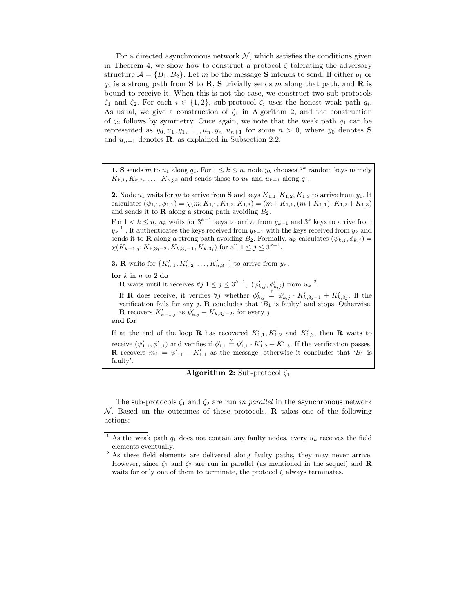For a directed asynchronous network  $\mathcal{N}$ , which satisfies the conditions given in Theorem 4, we show how to construct a protocol  $\zeta$  tolerating the adversary structure  $\mathcal{A} = \{B_1, B_2\}$ . Let m be the message **S** intends to send. If either  $q_1$  or  $q_2$  is a strong path from **S** to **R**, **S** trivially sends m along that path, and **R** is bound to receive it. When this is not the case, we construct two sub-protocols  $\zeta_1$  and  $\zeta_2$ . For each  $i \in \{1,2\}$ , sub-protocol  $\zeta_i$  uses the honest weak path  $q_i$ . As usual, we give a construction of  $\zeta_1$  in Algorithm 2, and the construction of  $\zeta_2$  follows by symmetry. Once again, we note that the weak path  $q_1$  can be represented as  $y_0, u_1, y_1, \ldots, u_n, y_n, u_{n+1}$  for some  $n > 0$ , where  $y_0$  denotes **S** and  $u_{n+1}$  denotes **R**, as explained in Subsection 2.2.

**1. S** sends m to  $u_1$  along  $q_1$ . For  $1 \leq k \leq n$ , node  $y_k$  chooses  $3^k$  random keys namely  $K_{k,1}, K_{k,2}, \ldots, K_{k,3^k}$  and sends those to  $u_k$  and  $u_{k+1}$  along  $q_1$ .

**2.** Node  $u_1$  waits for m to arrive from **S** and keys  $K_{1,1}$ ,  $K_{1,2}$ ,  $K_{1,3}$  to arrive from  $y_1$ . It calculates  $(\psi_{1,1}, \phi_{1,1}) = \chi(m; K_{1,1}, K_{1,2}, K_{1,3}) = (m + K_{1,1}, (m + K_{1,1}) \cdot K_{1,2} + K_{1,3})$ and sends it to  **along a strong path avoiding**  $B_2$ **.** 

For  $1 < k \leq n$ ,  $u_k$  waits for  $3^{k-1}$  keys to arrive from  $y_{k-1}$  and  $3^k$  keys to arrive from  $y_k^{-1}$ . It authenticates the keys received from  $y_{k-1}$  with the keys received from  $y_k$  and sends it to **R** along a strong path avoiding  $B_2$ . Formally,  $u_k$  calculates  $(\psi_{k,j}, \phi_{k,j}) =$  $\chi(K_{k-1,j}; K_{k,3j-2}, K_{k,3j-1}, K_{k,3j})$  for all  $1 \leq j \leq 3^{k-1}$ .

**3. R** waits for  $\{K'_{n,1}, K'_{n,2}, \ldots, K'_{n,3^n}\}$  to arrive from  $y_n$ .

for  $k$  in  $n$  to 2 do

**R** waits until it receives  $\forall j$   $1 \leq j \leq 3^{k-1}$ ,  $(\psi'_{k,j}, \phi'_{k,j})$  from  $u_k$  <sup>2</sup>.

If **R** does receive, it verifies  $\forall j$  whether  $\phi'_{k,j} \stackrel{?}{=} \psi'_{k,j} \cdot K'_{k,3j-1} + K'_{k,3j}$ . If the verification fails for any j,  $\bf{R}$  concludes that ' $B_1$  is faulty' and stops. Otherwise, **R** recovers  $K'_{k-1,j}$  as  $\psi'_{k,j} - K_{k,3j-2}$ , for every j. end for

If at the end of the loop **R** has recovered  $K'_{1,1}$ ,  $K'_{1,2}$  and  $K'_{1,3}$ , then **R** waits to receive  $(\psi'_{1,1}, \phi'_{1,1})$  and verifies if  $\phi'_{1,1} \stackrel{?}{=} \psi'_{1,1} \cdot K'_{1,2} + K'_{1,3}$ . If the verification passes, **R** recovers  $m_1 = \psi'_{1,1} - K'_{1,1}$  as the message; otherwise it concludes that 'B<sub>1</sub> is faulty'.

# **Algorithm 2:** Sub-protocol  $\zeta_1$

The sub-protocols  $\zeta_1$  and  $\zeta_2$  are run in parallel in the asynchronous network  $\mathcal N$ . Based on the outcomes of these protocols, **R** takes one of the following actions:

<sup>&</sup>lt;sup>1</sup> As the weak path  $q_1$  does not contain any faulty nodes, every  $u_k$  receives the field elements eventually.

<sup>&</sup>lt;sup>2</sup> As these field elements are delivered along faulty paths, they may never arrive. However, since  $\zeta_1$  and  $\zeta_2$  are run in parallel (as mentioned in the sequel) and **R** waits for only one of them to terminate, the protocol  $\zeta$  always terminates.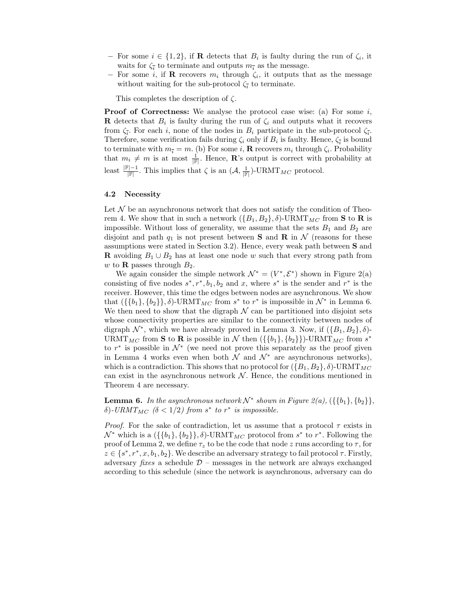- − For some  $i \in \{1,2\}$ , if **R** detects that  $B_i$  is faulty during the run of  $\zeta_i$ , it waits for  $\zeta_{\overline{i}}$  to terminate and outputs  $m_{\overline{i}}$  as the message.
- $-$  For some *i*, if **R** recovers  $m_i$  through  $\zeta_i$ , it outputs that as the message without waiting for the sub-protocol  $\zeta_{\bar{i}}$  to terminate.

This completes the description of  $\zeta$ .

**Proof of Correctness:** We analyse the protocol case wise: (a) For some  $i$ , **R** detects that  $B_i$  is faulty during the run of  $\zeta_i$  and outputs what it recovers from  $\zeta_{\overline{i}}$ . For each i, none of the nodes in  $B_i$  participate in the sub-protocol  $\zeta_{\overline{i}}$ . Therefore, some verification fails during  $\zeta_i$  only if  $B_i$  is faulty. Hence,  $\zeta_{\bar{i}}$  is bound to terminate with  $m_{\bar{i}} = m$ . (b) For some *i*, **R** recovers  $m_i$  through  $\zeta_i$ . Probability that  $m_i \neq m$  is at most  $\frac{1}{\mathbb{F}}$ . Hence, **R**'s output is correct with probability at least  $\frac{F|-1}{F}$ . This implies that  $\zeta$  is an  $(\mathcal{A}, \frac{1}{|F|})$ -URMT<sub>MC</sub> protocol.

### 4.2 Necessity

Let  ${\mathcal N}$  be an asynchronous network that does not satisfy the condition of Theorem 4. We show that in such a network  $({B_1, B_2}, \delta)$ -URMT<sub>MC</sub> from **S** to **R** is impossible. Without loss of generality, we assume that the sets  $B_1$  and  $B_2$  are disjoint and path  $q_1$  is not present between **S** and **R** in N (reasons for these assumptions were stated in Section 3.2). Hence, every weak path between S and **R** avoiding  $B_1 \cup B_2$  has at least one node w such that every strong path from w to **R** passes through  $B_2$ .

We again consider the simple network  $\mathcal{N}^* = (V^*, \mathcal{E}^*)$  shown in Figure 2(a) consisting of five nodes  $s^*, r^*, b_1, b_2$  and x, where  $s^*$  is the sender and  $r^*$  is the receiver. However, this time the edges between nodes are asynchronous. We show that  $({\lbrace b_1 \rbrace}, \lbrace b_2 \rbrace}, \delta)$ -URMT<sub>MC</sub> from  $s^*$  to  $r^*$  is impossible in  $\mathcal{N}^*$  in Lemma 6. We then need to show that the digraph  $\mathcal N$  can be partitioned into disjoint sets whose connectivity properties are similar to the connectivity between nodes of digraph  $\mathcal{N}^*$ , which we have already proved in Lemma 3. Now, if  $(\{B_1, B_2\}, \delta)$ -URMT<sub>MC</sub> from **S** to **R** is possible in N then  $({\{b_1\}, \{b_2\}})$ -URMT<sub>MC</sub> from s<sup>\*</sup> to  $r^*$  is possible in  $\mathcal{N}^*$  (we need not prove this separately as the proof given in Lemma 4 works even when both  $\mathcal N$  and  $\mathcal N^*$  are asynchronous networks), which is a contradiction. This shows that no protocol for  $({B_1, B_2}, \delta)$ -URMT<sub>MC</sub> can exist in the asynchronous network  $\mathcal N$ . Hence, the conditions mentioned in Theorem 4 are necessary.

**Lemma 6.** In the asynchronous network  $\mathcal{N}^*$  shown in Figure 2(a),  $({\lbrace b_1 \rbrace}, \lbrace b_2 \rbrace)$ , δ)-URMT<sub>MC</sub> (δ < 1/2) from  $s^*$  to  $r^*$  is impossible.

*Proof.* For the sake of contradiction, let us assume that a protocol  $\tau$  exists in  $\mathcal{N}^*$  which is a  $(\{\{b_1\}, \{b_2\}\}, \delta)$ -URMT<sub>MC</sub> protocol from  $s^*$  to  $r^*$ . Following the proof of Lemma 2, we define  $\tau_z$  to be the code that node z runs according to  $\tau$ , for  $z \in \{s^*, r^*, x, b_1, b_2\}$ . We describe an adversary strategy to fail protocol  $\tau$ . Firstly, adversary fixes a schedule  $\mathcal{D}$  – messages in the network are always exchanged according to this schedule (since the network is asynchronous, adversary can do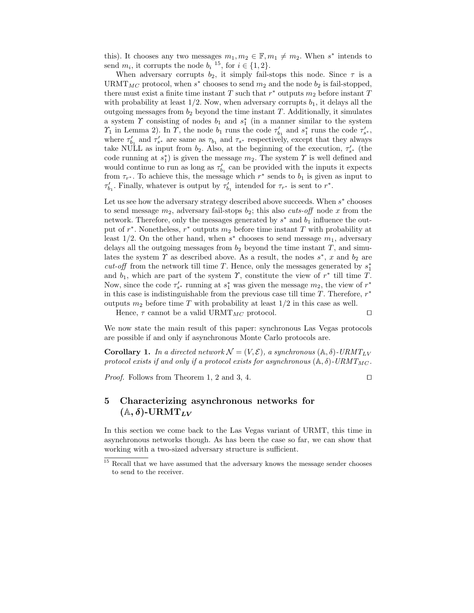this). It chooses any two messages  $m_1, m_2 \in \mathbb{F}, m_1 \neq m_2$ . When s<sup>\*</sup> intends to send  $m_i$ , it corrupts the node  $b_i$ <sup>15</sup>, for  $i \in \{1, 2\}$ .

When adversary corrupts  $b_2$ , it simply fail-stops this node. Since  $\tau$  is a URMT<sub>MC</sub> protocol, when  $s^*$  chooses to send  $m_2$  and the node  $b_2$  is fail-stopped, there must exist a finite time instant T such that  $r^*$  outputs  $m_2$  before instant T with probability at least  $1/2$ . Now, when adversary corrupts  $b_1$ , it delays all the outgoing messages from  $b_2$  beyond the time instant T. Additionally, it simulates a system  $\Upsilon$  consisting of nodes  $b_1$  and  $s_1^*$  (in a manner similar to the system  $\gamma_1$  in Lemma 2). In  $\gamma$ , the node  $b_1$  runs the code  $\tau'_{b_1}$  and  $s_1^*$  runs the code  $\tau'_{s^*}$ , where  $\tau'_{b_1}$  and  $\tau'_{s^*}$  are same as  $\tau_{b_1}$  and  $\tau_{s^*}$  respectively, except that they always take NULL as input from  $b_2$ . Also, at the beginning of the execution,  $\tau'_{s^*}$  (the code running at  $s_1^*$  is given the message  $m_2$ . The system  $\gamma$  is well defined and would continue to run as long as  $\tau'_{b_1}$  can be provided with the inputs it expects from  $\tau_{r^*}$ . To achieve this, the message which  $r^*$  sends to  $b_1$  is given as input to  $\tau'_{b_1}$ . Finally, whatever is output by  $\tau'_{b_1}$  intended for  $\tau_{r^*}$  is sent to  $r^*$ .

Let us see how the adversary strategy described above succeeds. When  $s^*$  chooses to send message  $m_2$ , adversary fail-stops  $b_2$ ; this also cuts-off node x from the network. Therefore, only the messages generated by  $s^*$  and  $b_1$  influence the output of  $r^*$ . Nonetheless,  $r^*$  outputs  $m_2$  before time instant T with probability at least  $1/2$ . On the other hand, when  $s^*$  chooses to send message  $m_1$ , adversary delays all the outgoing messages from  $b_2$  beyond the time instant  $T$ , and simulates the system  $\Upsilon$  as described above. As a result, the nodes  $s^*$ , x and  $b_2$  are *cut-off* from the network till time  $T$ . Hence, only the messages generated by  $s_1^*$ and  $b_1$ , which are part of the system  $\gamma$ , constitute the view of  $r^*$  till time  $T$ . Now, since the code  $\tau'_{s^*}$  running at  $s_1^*$  was given the message  $m_2$ , the view of  $r^*$ in this case is indistinguishable from the previous case till time  $T$ . Therefore,  $r^*$ outputs  $m_2$  before time T with probability at least  $1/2$  in this case as well.

Hence,  $\tau$  cannot be a valid URMT<sub>MC</sub> protocol. □

We now state the main result of this paper: synchronous Las Vegas protocols are possible if and only if asynchronous Monte Carlo protocols are.

**Corollary 1.** In a directed network  $\mathcal{N} = (V, \mathcal{E})$ , a synchronous  $(\mathbb{A}, \delta)$ -URMT<sub>LV</sub> protocol exists if and only if a protocol exists for asynchronous  $(A, \delta)$ -URMT<sub>MC</sub>.

*Proof.* Follows from Theorem 1, 2 and 3, 4. □

# 5 Characterizing asynchronous networks for  $(A, \delta)$ -URM $T_{LV}$

In this section we come back to the Las Vegas variant of URMT, this time in asynchronous networks though. As has been the case so far, we can show that working with a two-sized adversary structure is sufficient.

 $^{15}$  Recall that we have assumed that the adversary knows the message sender chooses to send to the receiver.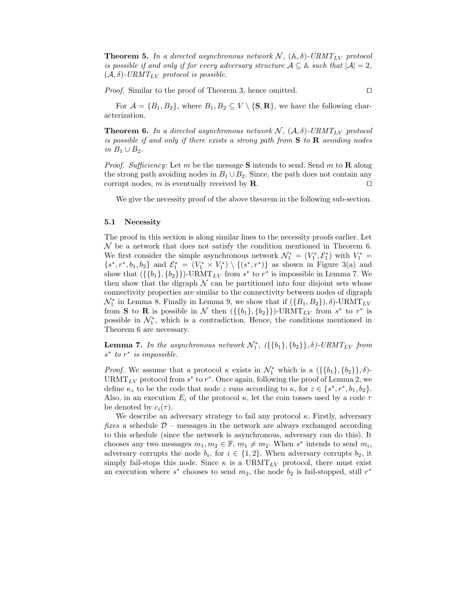**Theorem 5.** In a directed asynchronous network  $N$ ,  $(A, \delta)$ -URMT<sub>LV</sub> protocol is possible if and only if for every adversary structure  $A \subseteq A$  such that  $|A| = 2$ ,  $(\mathcal{A}, \delta)$ -URMT<sub>LV</sub> protocol is possible.

*Proof.* Similar to the proof of Theorem 3, hence omitted. □

For  $\mathcal{A} = \{B_1, B_2\}$ , where  $B_1, B_2 \subseteq V \setminus \{\mathbf{S}, \mathbf{R}\}\)$ , we have the following characterization.

**Theorem 6.** In a directed asynchronous network  $N$ ,  $(A, \delta)$ -URMT<sub>LV</sub> protocol is possible if and only if there exists a strong path from  $S$  to  $R$  avoiding nodes in  $B_1 \cup B_2$ .

*Proof.* Sufficiency: Let m be the message **S** intends to send. Send m to **R** along the strong path avoiding nodes in  $B_1 \cup B_2$ . Since, the path does not contain any corrupt nodes, m is eventually received by  $\mathbf{R}$ . □

We give the necessity proof of the above theorem in the following sub-section.

#### 5.1 Necessity

The proof in this section is along similar lines to the necessity proofs earlier. Let  $\mathcal N$  be a network that does not satisfy the condition mentioned in Theorem 6. We first consider the simple asynchronous network  $\mathcal{N}_1^* = (V_1^*, \mathcal{E}_1^*)$  with  $V_1^* =$  ${s^*, r^*, b_1, b_2}$  and  $\mathcal{E}_1^* = (V_1^* \times V_1^*) \setminus \{(s^*, r^*)\}$  as shown in Figure 3(a) and show that  $({\{b_1\}, \{b_2\}})$ -URMT<sub>LV</sub> from  $s^*$  to  $r^*$  is impossible in Lemma 7. We then show that the digraph  $\mathcal N$  can be partitioned into four disjoint sets whose connectivity properties are similar to the connectivity between nodes of digraph  $\mathcal{N}_1^*$  in Lemma 8. Finally in Lemma 9, we show that if  $(\{B_1, B_2\}), \delta)$ -URMT<sub>LV</sub> from **S** to **R** is possible in N then  $({\{b_1\}, \{b_2\}})\text{-}\text{URMT}_{LV}$  from  $s^*$  to  $r^*$  is possible in  $\mathcal{N}_1^*$ , which is a contradiction. Hence, the conditions mentioned in Theorem 6 are necessary.

**Lemma 7.** In the asynchronous network  $\mathcal{N}_1^*$ ,  $(\{\{b_1\}, \{b_2\}\}, \delta)$ -URMT<sub>LV</sub> from  $s^*$  to  $r^*$  is impossible.

*Proof.* We assume that a protocol  $\kappa$  exists in  $\mathcal{N}_1^*$  which is a  $({{\{b_1\},\{b_2\}\}},\delta)$ -URMT<sub>LV</sub> protocol from  $s^*$  to  $r^*$ . Once again, following the proof of Lemma 2, we define  $\kappa_z$  to be the code that node z runs according to  $\kappa$ , for  $z \in \{s^*, r^*, b_1, b_2\}.$ Also, in an execution  $E_i$  of the protocol  $\kappa$ , let the coin tosses used by a code  $\tau$ be denoted by  $c_i(\tau)$ .

We describe an adversary strategy to fail any protocol  $\kappa$ . Firstly, adversary fixes a schedule  $D$  – messages in the network are always exchanged according to this schedule (since the network is asynchronous, adversary can do this). It chooses any two messages  $m_1, m_2 \in \mathbb{F}$ ,  $m_1 \neq m_2$ . When s<sup>\*</sup> intends to send  $m_i$ , adversary corrupts the node  $b_i$ , for  $i \in \{1,2\}$ . When adversary corrupts  $b_2$ , it simply fail-stops this node. Since  $\kappa$  is a URMT<sub>LV</sub> protocol, there must exist an execution where  $s^*$  chooses to send  $m_2$ , the node  $b_2$  is fail-stopped, still  $r^*$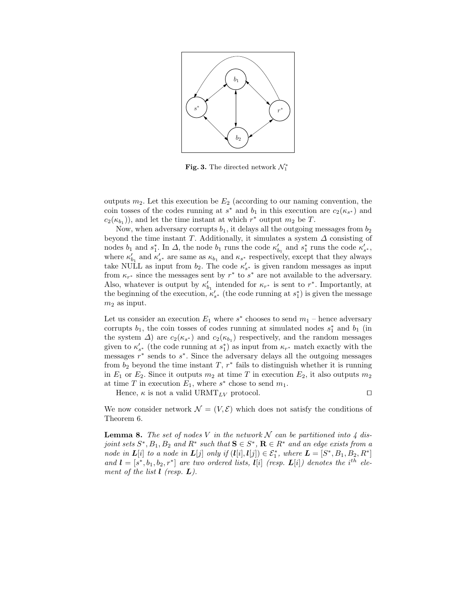

Fig. 3. The directed network  $\mathcal{N}_1^*$ 

outputs  $m_2$ . Let this execution be  $E_2$  (according to our naming convention, the coin tosses of the codes running at  $s^*$  and  $b_1$  in this execution are  $c_2(\kappa_{s^*})$  and  $c_2(\kappa_{b_1})$ , and let the time instant at which  $r^*$  output  $m_2$  be T.

Now, when adversary corrupts  $b_1$ , it delays all the outgoing messages from  $b_2$ beyond the time instant T. Additionally, it simulates a system  $\Delta$  consisting of nodes  $b_1$  and  $s_1^*$ . In  $\Delta$ , the node  $b_1$  runs the code  $\kappa'_{b_1}$  and  $s_1^*$  runs the code  $\kappa'_{s^*}$ , where  $\kappa'_{b_1}$  and  $\kappa'_{s^*}$  are same as  $\kappa_{b_1}$  and  $\kappa_{s^*}$  respectively, except that they always take NULL as input from  $b_2$ . The code  $\kappa'_{s^*}$  is given random messages as input from  $\kappa_{r^*}$  since the messages sent by  $r^*$  to  $s^*$  are not available to the adversary. Also, whatever is output by  $\kappa'_{b_1}$  intended for  $\kappa_{r^*}$  is sent to  $r^*$ . Importantly, at the beginning of the execution,  $\kappa'_{s^*}$  (the code running at  $s_1^*$ ) is given the message  $m_2$  as input.

Let us consider an execution  $E_1$  where  $s^*$  chooses to send  $m_1$  – hence adversary corrupts  $b_1$ , the coin tosses of codes running at simulated nodes  $s_1^*$  and  $b_1$  (in the system  $\Delta$ ) are  $c_2(\kappa_{s^*})$  and  $c_2(\kappa_{b_1})$  respectively, and the random messages given to  $\kappa'_{s^*}$  (the code running at  $s_1^*$ ) as input from  $\kappa_{r^*}$  match exactly with the messages  $r^*$  sends to  $s^*$ . Since the adversary delays all the outgoing messages from  $b_2$  beyond the time instant  $T, r^*$  fails to distinguish whether it is running in  $E_1$  or  $E_2$ . Since it outputs  $m_2$  at time T in execution  $E_2$ , it also outputs  $m_2$ at time T in execution  $E_1$ , where  $s^*$  chose to send  $m_1$ .

Hence,  $\kappa$  is not a valid URMT<sub>LV</sub> protocol. □

We now consider network  $\mathcal{N} = (V, \mathcal{E})$  which does not satisfy the conditions of Theorem 6.

**Lemma 8.** The set of nodes V in the network N can be partitioned into 4 disjoint sets  $S^*, B_1, B_2$  and  $R^*$  such that  $S \in S^*$ ,  $\mathbf{R} \in R^*$  and an edge exists from a node in  $L[i]$  to a node in  $L[j]$  only if  $(l[i], l[j]) \in \mathcal{E}_1^*$ , where  $L = [S^*, B_1, B_2, R^*]$ and  $\mathbf{l} = [s^*, b_1, b_2, r^*]$  are two ordered lists,  $\mathbf{l}[i]$  (resp.  $\mathbf{L}[i]$ ) denotes the i<sup>th</sup> element of the list  $\mathbf{l}$  (resp.  $\mathbf{L}$ ).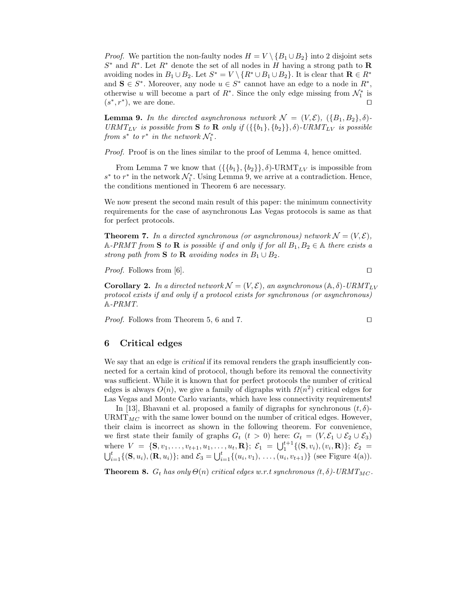*Proof.* We partition the non-faulty nodes  $H = V \setminus \{B_1 \cup B_2\}$  into 2 disjoint sets  $S^*$  and  $R^*$ . Let  $R^*$  denote the set of all nodes in H having a strong path to R avoiding nodes in  $B_1 \cup B_2$ . Let  $S^* = V \setminus \{R^* \cup B_1 \cup B_2\}$ . It is clear that  $\mathbf{R} \in R^*$ and  $S \in S^*$ . Moreover, any node  $u \in S^*$  cannot have an edge to a node in  $R^*$ , otherwise u will become a part of  $R^*$ . Since the only edge missing from  $\mathcal{N}_1^*$  is  $(s^*, r^*)$ , we are done. □

**Lemma 9.** In the directed asynchronous network  $\mathcal{N} = (V, \mathcal{E}), (\{B_1, B_2\}, \delta)$ -URMT<sub>LV</sub> is possible from **S** to **R** only if  $({\{b_1\}, \{b_2\}\}, \delta)$ -URMT<sub>LV</sub> is possible from  $s^*$  to  $r^*$  in the network  $\mathcal{N}_1^*$ .

Proof. Proof is on the lines similar to the proof of Lemma 4, hence omitted.

From Lemma 7 we know that  $({{\{b_1\},\{b_2\}\}},\delta)$ -URMT<sub>LV</sub> is impossible from  $s^*$  to  $r^*$  in the network  $\mathcal{N}_1^*$ . Using Lemma 9, we arrive at a contradiction. Hence, the conditions mentioned in Theorem 6 are necessary.

We now present the second main result of this paper: the minimum connectivity requirements for the case of asynchronous Las Vegas protocols is same as that for perfect protocols.

**Theorem 7.** In a directed synchronous (or asynchronous) network  $\mathcal{N} = (V, \mathcal{E}),$ A-PRMT from S to R is possible if and only if for all  $B_1, B_2 \in \mathbb{A}$  there exists a strong path from S to R avoiding nodes in  $B_1 \cup B_2$ .

*Proof.* Follows from [6]. □

**Corollary 2.** In a directed network  $\mathcal{N} = (V, \mathcal{E})$ , an asynchronous  $(\mathbb{A}, \delta)$ -URMT<sub>LV</sub> protocol exists if and only if a protocol exists for synchronous (or asynchronous) A-PRMT.

*Proof.* Follows from Theorem 5, 6 and 7. □

## 6 Critical edges

We say that an edge is *critical* if its removal renders the graph insufficiently connected for a certain kind of protocol, though before its removal the connectivity was sufficient. While it is known that for perfect protocols the number of critical edges is always  $O(n)$ , we give a family of digraphs with  $\Omega(n^2)$  critical edges for Las Vegas and Monte Carlo variants, which have less connectivity requirements!

In [13], Bhavani et al. proposed a family of digraphs for synchronous  $(t, \delta)$ - $\text{URMT}_{MC}$  with the same lower bound on the number of critical edges. However, their claim is incorrect as shown in the following theorem. For convenience, we first state their family of graphs  $G_t$   $(t > 0)$  here:  $G_t = (V, \mathcal{E}_1 \cup \mathcal{E}_2 \cup \mathcal{E}_3)$ where  $V = \{S, v_1, \ldots, v_{t+1}, u_1, \ldots, u_t, R\}; \; \mathcal{E}_1 = \bigcup_1^{t+1} \{ (S, v_i), (v_i, R) \}; \; \mathcal{E}_2 =$  $\bigcup_{i=1}^{t} \{ (\mathbf{S}, u_i), (\mathbf{R}, u_i) \};$  and  $\mathcal{E}_3 = \bigcup_{i=1}^{t} \{ (u_i, v_1), \dots, (u_i, v_{t+1}) \}$  (see Figure 4(a)).

**Theorem 8.**  $G_t$  has only  $\Theta(n)$  critical edges w.r.t synchronous  $(t, \delta)$ -URMT<sub>MC</sub>.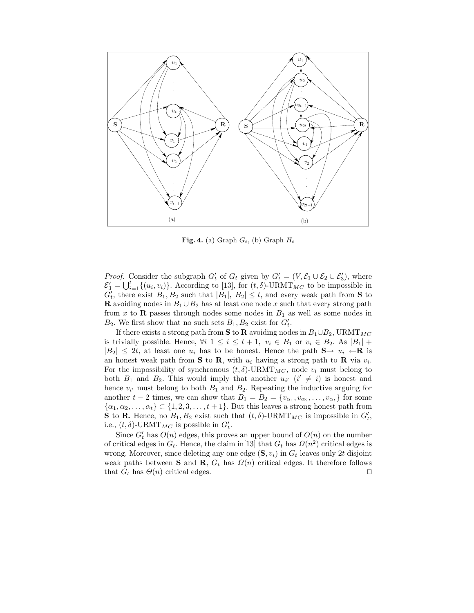

Fig. 4. (a) Graph  $G_t$ , (b) Graph  $H_t$ 

*Proof.* Consider the subgraph  $G'_t$  of  $G_t$  given by  $G'_t = (V, \mathcal{E}_1 \cup \mathcal{E}_2 \cup \mathcal{E}'_3)$ , where  $\mathcal{E}'_3 = \bigcup_{i=1}^t \{(u_i, v_i)\}\.$  According to [13], for  $(t, \delta)$ -URMT<sub>MC</sub> to be impossible in  $G'_{t}$ , there exist  $B_1, B_2$  such that  $|B_1|, |B_2| \leq t$ , and every weak path from **S** to **R** avoiding nodes in  $B_1 \cup B_2$  has at least one node x such that every strong path from x to **R** passes through nodes some nodes in  $B_1$  as well as some nodes in  $B_2$ . We first show that no such sets  $B_1, B_2$  exist for  $G'_t$ .

If there exists a strong path from S to R avoiding nodes in  $B_1 \cup B_2$ , URMT<sub>MC</sub> is trivially possible. Hence,  $\forall i \ 1 \leq i \leq t+1, v_i \in B_1$  or  $v_i \in B_2$ . As  $|B_1|$  +  $|B_2| \leq 2t$ , at least one  $u_i$  has to be honest. Hence the path  $S \rightarrow u_i \leftarrow \mathbf{R}$  is an honest weak path from **S** to **R**, with  $u_i$  having a strong path to **R** via  $v_i$ . For the impossibility of synchronous  $(t, \delta)$ -URMT<sub>MC</sub>, node  $v_i$  must belong to both  $B_1$  and  $B_2$ . This would imply that another  $u_{i'}$   $(i' \neq i)$  is honest and hence  $v_{i'}$  must belong to both  $B_1$  and  $B_2$ . Repeating the inductive arguing for another  $t-2$  times, we can show that  $B_1 = B_2 = \{v_{\alpha_1}, v_{\alpha_2}, \ldots, v_{\alpha_t}\}\$  for some  $\{\alpha_1, \alpha_2, \ldots, \alpha_t\} \subset \{1, 2, 3, \ldots, t+1\}$ . But this leaves a strong honest path from **S** to **R**. Hence, no  $B_1, B_2$  exist such that  $(t, \delta)$ -URMT<sub>MC</sub> is impossible in  $G'_t$ , i.e.,  $(t, \delta)$ -URMT<sub>MC</sub> is possible in  $G'_t$ .

Since  $G'_{t}$  has  $O(n)$  edges, this proves an upper bound of  $O(n)$  on the number of critical edges in  $G_t$ . Hence, the claim in [13] that  $G_t$  has  $\Omega(n^2)$  critical edges is wrong. Moreover, since deleting any one edge  $(\mathbf{S},v_i)$  in  $G_t$  leaves only 2t disjoint weak paths between S and R,  $G_t$  has  $\Omega(n)$  critical edges. It therefore follows that  $G_t$  has  $\Theta(n)$  critical edges. □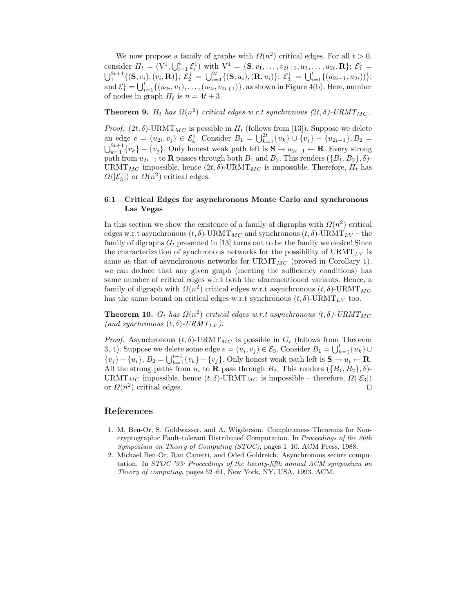We now propose a family of graphs with  $\Omega(n^2)$  critical edges. For all  $t > 0$ , consider  $H_t = (V^1, \bigcup_{i=1}^4 \mathcal{E}_i^1)$  with  $V^1 = \{S, v_1, \ldots, v_{2t+1}, u_1, \ldots, u_{2t}, R\}; \mathcal{E}_1^1 =$  $\bigcup_1^{2t+1}\{(\mathbf{S},v_i),(v_i,\mathbf{R})\};\; \mathcal{E}_2^1\,=\, \bigcup_{i=1}^{2t}\{(\mathbf{S},u_i),(\mathbf{R},u_i)\};\; \mathcal{E}_3^1\,=\, \bigcup_{i=1}^{t}\{(u_{2i-1},u_{2i}))\};$ and  $\mathcal{E}_4^1 = \bigcup_{i=1}^t \{(u_{2i}, v_1), \ldots, (u_{2i}, v_{2t+1})\}$ , as shown in Figure 4(b). Here, number of nodes in graph  $H_t$  is  $n = 4t + 3$ .

**Theorem 9.**  $H_t$  has  $\Omega(n^2)$  critical edges w.r.t synchronous  $(2t,\delta)$ -URMT<sub>MC</sub>.

*Proof.* (2t,  $\delta$ )-URMT<sub>MC</sub> is possible in  $H_t$  (follows from [13]). Suppose we delete an edge  $e = (u_{2i}, v_j) \in \mathcal{E}_4^1$ . Consider  $B_1 = \bigcup_{k=1}^{2t} \{u_k\} \cup \{v_j\} - \{u_{2i-1}\}, B_2 =$  $\bigcup_{k=1}^{2t+1} \{v_k\} - \{v_j\}$ . Only honest weak path left is  $S \to u_{2i-1} \leftarrow \mathbf{R}$ . Every strong path from  $u_{2i-1}$  to **R** passes through both  $B_1$  and  $B_2$ . This renders  $(\{B_1, B_2\}, \delta)$ -URMT<sub>MC</sub> impossible, hence  $(2t,\delta)$ -URMT<sub>MC</sub> is impossible. Therefore,  $H_t$  has  $\Omega(|\mathcal{E}_3^1|)$  or  $\Omega(n^2)$  critical edges.

## 6.1 Critical Edges for asynchronous Monte Carlo and synchronous Las Vegas

In this section we show the existence of a family of digraphs with  $\Omega(n^2)$  critical edges w.r.t asynchronous  $(t, \delta)$ -URMT<sub>MC</sub> and synchronous  $(t, \delta)$ -URMT<sub>LV</sub> – the family of digraphs  $G_t$  presented in [13] turns out to be the family we desire! Since the characterization of synchronous networks for the possibility of  $\text{URMT}_{LV}$  is same as that of asynchronous networks for  $\text{URMT}_{MC}$  (proved in Corollary 1), we can deduce that any given graph (meeting the sufficiency conditions) has same number of critical edges w.r.t both the aforementioned variants. Hence, a family of digraph with  $\Omega(n^2)$  critical edges w.r.t asynchronous  $(t, \delta)$ -URMT<sub>MC</sub> has the same bound on critical edges w.r.t synchronous  $(t, \delta)$ -URMT<sub>LV</sub> too.

**Theorem 10.**  $G_t$  has  $\Omega(n^2)$  critical edges w.r.t asynchronous  $(t, \delta)$ -URMT<sub>MC</sub> (and synchronous  $(t, \delta)$ -URM $T_{LV}$ ).

*Proof.* Asynchronous  $(t, \delta)$ -URMT<sub>MC</sub> is possible in  $G_t$  (follows from Theorem 3, 4). Suppose we delete some edge  $e = (u_i, v_j) \in \mathcal{E}_3$ . Consider  $B_1 = \bigcup_{k=1}^t \{u_k\} \cup$  ${v_j} - {u_i}$ ,  $B_2 = \bigcup_{k=1}^{t+1} {v_k} - {v_j}$ . Only honest weak path left is  $S \to u_i \leftarrow R$ . All the strong paths from  $u_i$  to **R** pass through  $B_2$ . This renders  $({B_1, B_2}, \delta)$ -URMT<sub>MC</sub> impossible, hence  $(t, \delta)$ -URMT<sub>MC</sub> is impossible – therefore,  $\Omega(|\mathcal{E}_3|)$ or  $\Omega(n^2)$  critical edges. □

### References

- 1. M. Ben-Or, S. Goldwasser, and A. Wigderson. Completeness Theorems for Noncryptographic Fault-tolerant Distributed Computation. In *Proceedings of the 20th Symposium on Theory of Computing (STOC)*, pages 1–10. ACM Press, 1988.
- 2. Michael Ben-Or, Ran Canetti, and Oded Goldreich. Asynchronous secure computation. In *STOC '93: Proceedings of the twenty-fifth annual ACM symposium on Theory of computing*, pages 52–61, New York, NY, USA, 1993. ACM.